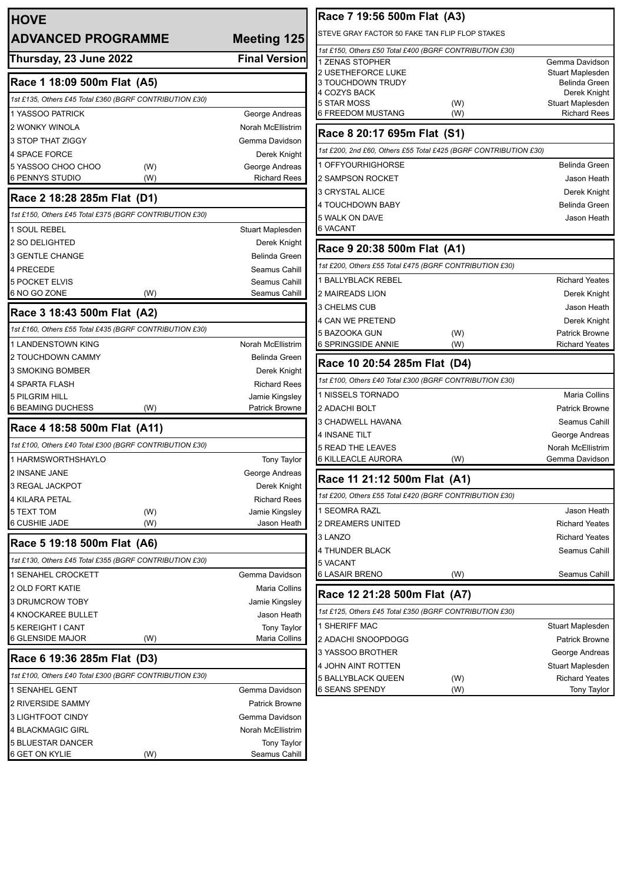| <b>HOVE</b>                                             |                          | Race 7 19:56 500m Flat (A3)                                      |
|---------------------------------------------------------|--------------------------|------------------------------------------------------------------|
| <b>ADVANCED PROGRAMME</b>                               | Meeting 125              | STEVE GRAY FACTOR 50 FAKE TAN FLIP FLOP STAKES                   |
|                                                         |                          | 1st £150, Others £50 Total £400 (BGRF CONTRIBUTION £30)          |
| Thursday, 23 June 2022                                  | <b>Final Version</b>     | 1 ZENAS STOPHER                                                  |
| Race 1 18:09 500m Flat (A5)                             |                          | <b>2 USETHEFORCE LUKE</b><br>3 TOUCHDOWN TRUDY                   |
| 1st £135, Others £45 Total £360 (BGRF CONTRIBUTION £30) |                          | 4 COZYS BACK                                                     |
| 1 YASSOO PATRICK                                        | George Andreas           | 5 STAR MOSS<br>(W)<br>6 FREEDOM MUSTANG<br>(W)                   |
| <b>2 WONKY WINOLA</b>                                   | Norah McEllistrim        |                                                                  |
| 3 STOP THAT ZIGGY                                       | Gemma Davidson           | Race 8 20:17 695m Flat (S1)                                      |
| 4 SPACE FORCE                                           | Derek Knight             | 1st £200, 2nd £60, Others £55 Total £425 (BGRF CONTRIBUTION £30) |
| 5 YASSOO CHOO CHOO<br>(W)                               | George Andreas           | 1 OFFYOURHIGHORSE                                                |
| 6 PENNYS STUDIO<br>(W)                                  | <b>Richard Rees</b>      | 2 SAMPSON ROCKET                                                 |
| Race 2 18:28 285m Flat (D1)                             |                          | 3 CRYSTAL ALICE                                                  |
| 1st £150, Others £45 Total £375 (BGRF CONTRIBUTION £30) |                          | 4 TOUCHDOWN BABY                                                 |
| 1 SOUL REBEL                                            | Stuart Maplesden         | 5 WALK ON DAVE<br><b>6 VACANT</b>                                |
| 2 SO DELIGHTED                                          | Derek Knight             |                                                                  |
| 3 GENTLE CHANGE                                         | <b>Belinda Green</b>     | Race 9 20:38 500m Flat (A1)                                      |
| 4 PRECEDE                                               | Seamus Cahill            | 1st £200, Others £55 Total £475 (BGRF CONTRIBUTION £30)          |
| <b>5 POCKET ELVIS</b>                                   | Seamus Cahill            | 1 BALLYBLACK REBEL                                               |
| 6 NO GO ZONE<br>(W)                                     | Seamus Cahill            | 2 MAIREADS LION                                                  |
| Race 3 18:43 500m Flat (A2)                             |                          | 3 CHELMS CUB                                                     |
| 1st £160, Others £55 Total £435 (BGRF CONTRIBUTION £30) |                          | 4 CAN WE PRETEND                                                 |
| 1 LANDENSTOWN KING                                      | <b>Norah McEllistrim</b> | 5 BAZOOKA GUN<br>(W)<br>6 SPRINGSIDE ANNIE<br>(W)                |
| 2 TOUCHDOWN CAMMY                                       | <b>Belinda Green</b>     |                                                                  |
| 3 SMOKING BOMBER                                        | Derek Knight             | Race 10 20:54 285m Flat (D4)                                     |
| 4 SPARTA FLASH                                          | <b>Richard Rees</b>      | 1st £100, Others £40 Total £300 (BGRF CONTRIBUTION £30)          |
| 5 PILGRIM HILL                                          | Jamie Kingsley           | 1 NISSELS TORNADO                                                |
| 6 BEAMING DUCHESS<br>(W)                                | Patrick Browne           | 2 ADACHI BOLT                                                    |
| Race 4 18:58 500m Flat (A11)                            |                          | 3 CHADWELL HAVANA                                                |
| 1st £100, Others £40 Total £300 (BGRF CONTRIBUTION £30) |                          | <b>4 INSANE TILT</b>                                             |
| 1 HARMSWORTHSHAYLO                                      | <b>Tony Taylor</b>       | <b>5 READ THE LEAVES</b><br><b>6 KILLEACLE AURORA</b><br>(W)     |
| 2 INSANE JANE                                           | George Andreas           |                                                                  |
| 3 REGAL JACKPOT                                         | Derek Knight             | Race 11 21:12 500m Flat (A1)                                     |
| 4 KILARA PETAL                                          | <b>Richard Rees</b>      | 1st £200, Others £55 Total £420 (BGRF CONTRIBUTION £30)          |
| 5 TEXT TOM<br>(W)                                       | Jamie Kingsley           | 1 SEOMRA RAZL                                                    |
| 6 CUSHIE JADE<br>(W)                                    | Jason Heath              | 2 DREAMERS UNITED                                                |
| Race 5 19:18 500m Flat (A6)                             |                          | 3 LANZO                                                          |
| 1st £130, Others £45 Total £355 (BGRF CONTRIBUTION £30) |                          | 4 THUNDER BLACK                                                  |
| 1 SENAHEL CROCKETT                                      | Gemma Davidson           | 5 VACANT<br><b>6 LASAIR BRENO</b><br>(W)                         |
| 2 OLD FORT KATIE                                        | Maria Collins            |                                                                  |
| 3 DRUMCROW TOBY                                         | Jamie Kingsley           | Race 12 21:28 500m Flat (A7)                                     |
| 4 KNOCKAREE BULLET                                      | Jason Heath              | 1st £125, Others £45 Total £350 (BGRF CONTRIBUTION £30)          |
| 5 KEREIGHT I CANT                                       | Tony Taylor              | 1 SHERIFF MAC                                                    |
| 6 GLENSIDE MAJOR<br>(W)                                 | Maria Collins            | 2 ADACHI SNOOPDOGG                                               |
| Race 6 19:36 285m Flat (D3)                             |                          | 3 YASSOO BROTHER                                                 |
| 1st £100, Others £40 Total £300 (BGRF CONTRIBUTION £30) |                          | 4 JOHN AINT ROTTEN                                               |
| 1 SENAHEL GENT                                          | Gemma Davidson           | 5 BALLYBLACK QUEEN<br>(W)<br>6 SEANS SPENDY<br>(W)               |
| 2 RIVERSIDE SAMMY                                       | Patrick Browne           |                                                                  |
| 3 LIGHTFOOT CINDY                                       | Gemma Davidson           |                                                                  |
| 4 BLACKMAGIC GIRL                                       | Norah McEllistrim        |                                                                  |
| 5 BLUESTAR DANCER                                       | <b>Tony Taylor</b>       |                                                                  |
| 6 GET ON KYLIE<br>(W)                                   | Seamus Cahill            |                                                                  |
|                                                         |                          |                                                                  |

Gemma Davidson Stuart Maplesden Belinda Green Derek Knight Stuart Maplesden Richard Rees

> Belinda Green Jason Heath Derek Knight Belinda Green Jason Heath

**Richard Yeates** Derek Knight Jason Heath Derek Knight Patrick Browne **Richard Yeates** 

Maria Collins Patrick Browne Seamus Cahill George Andreas Norah McEllistrim Gemma Davidson

> Jason Heath **Richard Yeates Richard Yeates** Seamus Cahill

Seamus Cahill

 $\overline{\phantom{a}}$ Stuart Maplesden Patrick Browne George Andreas Stuart Maplesden Richard Yeates Tony Taylor